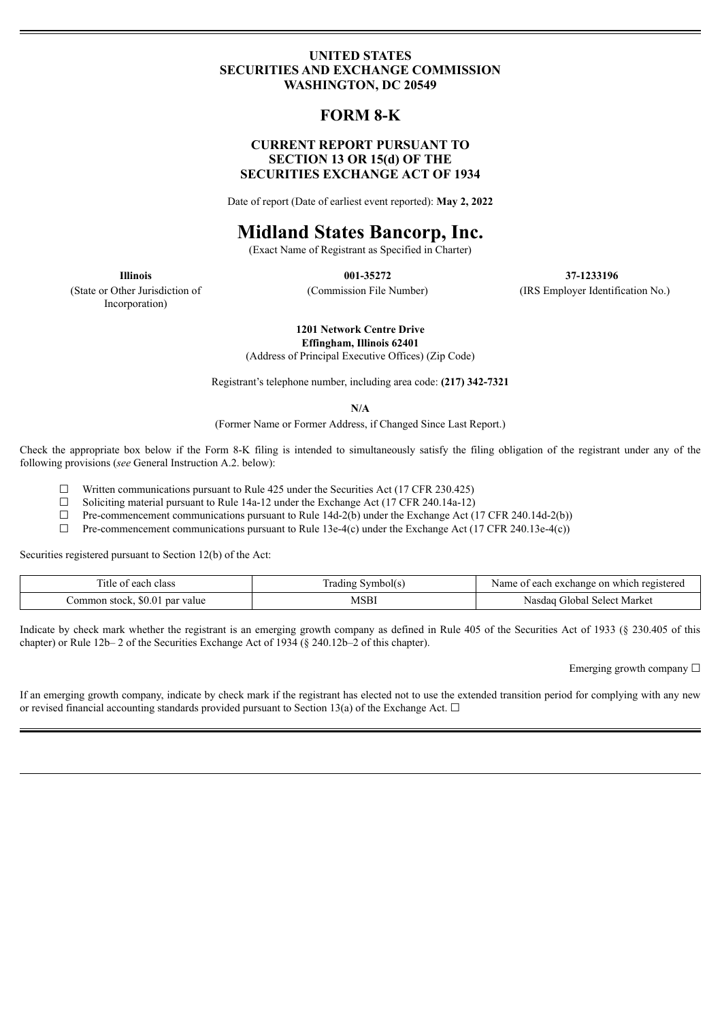## **UNITED STATES SECURITIES AND EXCHANGE COMMISSION WASHINGTON, DC 20549**

# **FORM 8-K**

# **CURRENT REPORT PURSUANT TO SECTION 13 OR 15(d) OF THE SECURITIES EXCHANGE ACT OF 1934**

Date of report (Date of earliest event reported): **May 2, 2022**

# **Midland States Bancorp, Inc.**

(Exact Name of Registrant as Specified in Charter)

**Illinois 001-35272 37-1233196** (Commission File Number) (IRS Employer Identification No.)

(State or Other Jurisdiction of Incorporation)

**1201 Network Centre Drive**

**Effingham, Illinois 62401**

(Address of Principal Executive Offices) (Zip Code)

Registrant's telephone number, including area code: **(217) 342-7321**

**N/A**

(Former Name or Former Address, if Changed Since Last Report.)

Check the appropriate box below if the Form 8-K filing is intended to simultaneously satisfy the filing obligation of the registrant under any of the following provisions (*see* General Instruction A.2. below):

 $\Box$  Written communications pursuant to Rule 425 under the Securities Act (17 CFR 230.425)

 $\Box$  Soliciting material pursuant to Rule 14a-12 under the Exchange Act (17 CFR 240.14a-12)

 $\Box$  Pre-commencement communications pursuant to Rule 14d-2(b) under the Exchange Act (17 CFR 240.14d-2(b))

 $\Box$  Pre-commencement communications pursuant to Rule 13e-4(c) under the Exchange Act (17 CFR 240.13e-4(c))

Securities registered pursuant to Section 12(b) of the Act:

| each class<br>1He<br>- OT          | Symbol(s<br>rading | e on which registered<br>exchange<br>each<br>Name |  |  |
|------------------------------------|--------------------|---------------------------------------------------|--|--|
| \$0.0<br>ommon stock,<br>par value | MSBI               | Market<br>. Select.<br>-ilobal-<br>Nasdag         |  |  |

Indicate by check mark whether the registrant is an emerging growth company as defined in Rule 405 of the Securities Act of 1933 (§ 230.405 of this chapter) or Rule 12b-2 of the Securities Exchange Act of 1934 (§ 240.12b-2 of this chapter).

Emerging growth company □

If an emerging growth company, indicate by check mark if the registrant has elected not to use the extended transition period for complying with any new or revised financial accounting standards provided pursuant to Section 13(a) of the Exchange Act.  $\Box$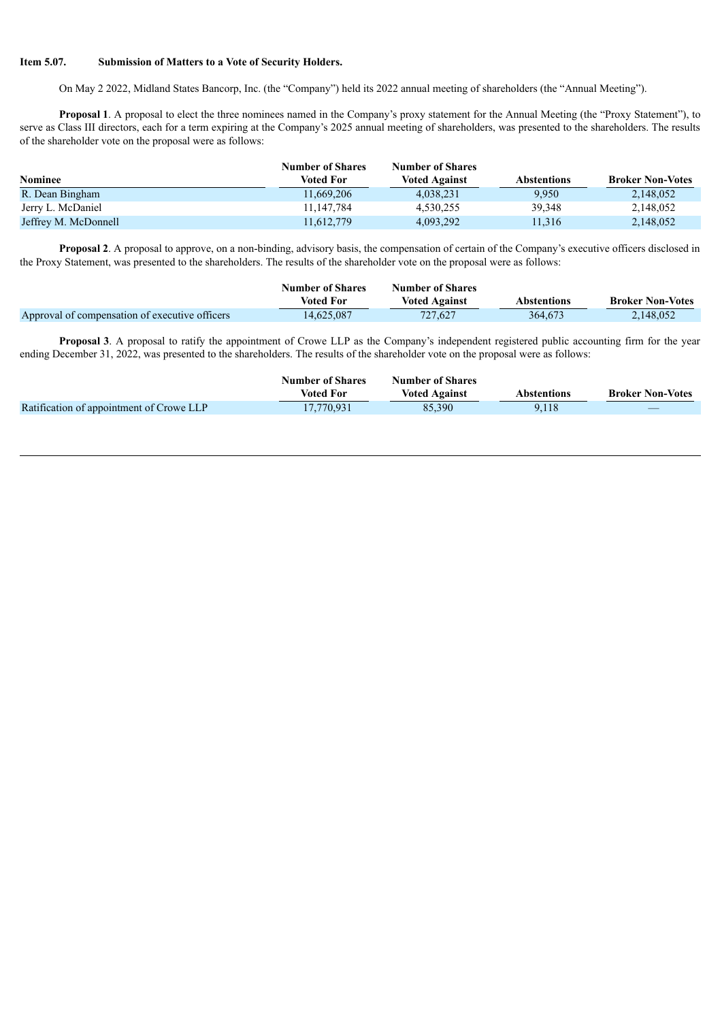#### **Item 5.07. Submission of Matters to a Vote of Security Holders.**

On May 2 2022, Midland States Bancorp, Inc. (the "Company") held its 2022 annual meeting of shareholders (the "Annual Meeting").

**Proposal 1**. A proposal to elect the three nominees named in the Company's proxy statement for the Annual Meeting (the "Proxy Statement"), to serve as Class III directors, each for a term expiring at the Company's 2025 annual meeting of shareholders, was presented to the shareholders. The results of the shareholder vote on the proposal were as follows:

|                      | <b>Number of Shares</b> | <b>Number of Shares</b> |             |                         |
|----------------------|-------------------------|-------------------------|-------------|-------------------------|
| <b>Nominee</b>       | Voted For               | <b>Voted Against</b>    | Abstentions | <b>Broker Non-Votes</b> |
| R. Dean Bingham      | 11,669,206              | 4.038.231               | 9.950       | 2,148,052               |
| Jerry L. McDaniel    | 11.147.784              | 4.530.255               | 39.348      | 2,148,052               |
| Jeffrey M. McDonnell | 11.612.779              | 4,093,292               | 11,316      | 2,148,052               |

**Proposal 2**. A proposal to approve, on a non-binding, advisory basis, the compensation of certain of the Company's executive officers disclosed in the Proxy Statement, was presented to the shareholders. The results of the shareholder vote on the proposal were as follows:

|                                                | <b>Number of Shares</b> | <b>Number of Shares</b> |             |                         |
|------------------------------------------------|-------------------------|-------------------------|-------------|-------------------------|
|                                                | Voted For               | <b>Voted Against</b>    | Abstentions | <b>Broker Non-Votes</b> |
| Approval of compensation of executive officers | 14.625.087              | 727.627                 | 364.673     | 2,148,052               |

**Proposal 3**. A proposal to ratify the appointment of Crowe LLP as the Company's independent registered public accounting firm for the year ending December 31, 2022, was presented to the shareholders. The results of the shareholder vote on the proposal were as follows:

|                                          | <b>Number of Shares</b> | <b>Number of Shares</b> |             |                         |
|------------------------------------------|-------------------------|-------------------------|-------------|-------------------------|
|                                          | <b>Voted For</b>        | <b>Voted Against</b>    | Abstentions | <b>Broker Non-Votes</b> |
| Ratification of appointment of Crowe LLP | 17.770.931              | 85.390                  | 9.118       |                         |
|                                          |                         |                         |             |                         |